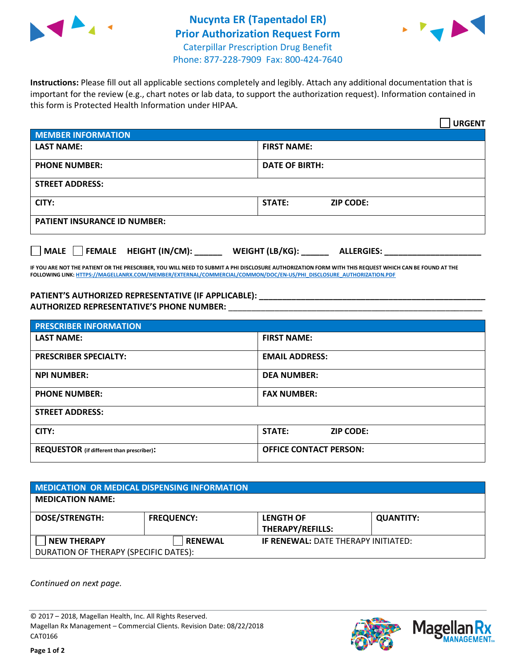



**Instructions:** Please fill out all applicable sections completely and legibly. Attach any additional documentation that is important for the review (e.g., chart notes or lab data, to support the authorization request). Information contained in this form is Protected Health Information under HIPAA.

|                                     | <b>URGENT</b>                        |  |  |  |
|-------------------------------------|--------------------------------------|--|--|--|
| <b>MEMBER INFORMATION</b>           |                                      |  |  |  |
| <b>LAST NAME:</b>                   | <b>FIRST NAME:</b>                   |  |  |  |
| <b>PHONE NUMBER:</b>                | <b>DATE OF BIRTH:</b>                |  |  |  |
| <b>STREET ADDRESS:</b>              |                                      |  |  |  |
| CITY:                               | <b>ZIP CODE:</b><br>STATE:           |  |  |  |
| <b>PATIENT INSURANCE ID NUMBER:</b> |                                      |  |  |  |
| FEMALE HEIGHT (IN/CM):<br>    MALE  | WEIGHT (LB/KG):<br><b>ALLERGIES:</b> |  |  |  |

**IF YOU ARE NOT THE PATIENT OR THE PRESCRIBER, YOU WILL NEED TO SUBMIT A PHI DISCLOSURE AUTHORIZATION FORM WITH THIS REQUEST WHICH CAN BE FOUND AT THE FOLLOWING LINK[: HTTPS://MAGELLANRX.COM/MEMBER/EXTERNAL/COMMERCIAL/COMMON/DOC/EN-US/PHI\\_DISCLOSURE\\_AUTHORIZATION.PDF](https://magellanrx.com/member/external/commercial/common/doc/en-us/PHI_Disclosure_Authorization.pdf)**

**PATIENT'S AUTHORIZED REPRESENTATIVE (IF APPLICABLE): \_\_\_\_\_\_\_\_\_\_\_\_\_\_\_\_\_\_\_\_\_\_\_\_\_\_\_\_\_\_\_\_\_\_\_\_\_\_\_\_\_\_\_\_\_\_\_\_\_ AUTHORIZED REPRESENTATIVE'S PHONE NUMBER:** \_\_\_\_\_\_\_\_\_\_\_\_\_\_\_\_\_\_\_\_\_\_\_\_\_\_\_\_\_\_\_\_\_\_\_\_\_\_\_\_\_\_\_\_\_\_\_\_\_\_\_\_\_\_\_

| <b>PRESCRIBER INFORMATION</b>             |                               |  |  |  |
|-------------------------------------------|-------------------------------|--|--|--|
| <b>LAST NAME:</b>                         | <b>FIRST NAME:</b>            |  |  |  |
| <b>PRESCRIBER SPECIALTY:</b>              | <b>EMAIL ADDRESS:</b>         |  |  |  |
| <b>NPI NUMBER:</b>                        | <b>DEA NUMBER:</b>            |  |  |  |
| <b>PHONE NUMBER:</b>                      | <b>FAX NUMBER:</b>            |  |  |  |
| <b>STREET ADDRESS:</b>                    |                               |  |  |  |
| CITY:                                     | STATE:<br><b>ZIP CODE:</b>    |  |  |  |
| REQUESTOR (if different than prescriber): | <b>OFFICE CONTACT PERSON:</b> |  |  |  |

| <b>MEDICATION OR MEDICAL DISPENSING INFORMATION</b> |                   |                                            |                  |  |  |
|-----------------------------------------------------|-------------------|--------------------------------------------|------------------|--|--|
| <b>MEDICATION NAME:</b>                             |                   |                                            |                  |  |  |
| <b>DOSE/STRENGTH:</b>                               | <b>FREQUENCY:</b> | <b>LENGTH OF</b>                           | <b>QUANTITY:</b> |  |  |
|                                                     |                   | <b>THERAPY/REFILLS:</b>                    |                  |  |  |
| <b>NEW THERAPY</b>                                  | <b>RENEWAL</b>    | <b>IF RENEWAL: DATE THERAPY INITIATED:</b> |                  |  |  |
| DURATION OF THERAPY (SPECIFIC DATES):               |                   |                                            |                  |  |  |

*Continued on next page.*

© 2017 – 2018, Magellan Health, Inc. All Rights Reserved. Magellan Rx Management – Commercial Clients. Revision Date: 08/22/2018 CAT0166